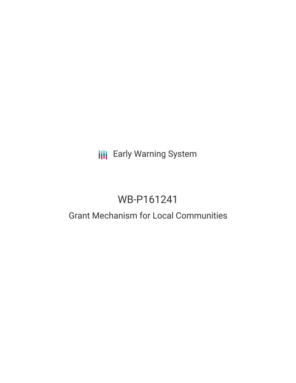## **III** Early Warning System

# WB-P161241

### Grant Mechanism for Local Communities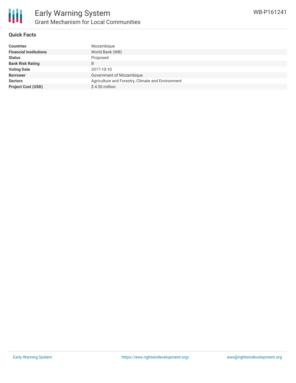

#### **Quick Facts**

| Mozambique                                        |
|---------------------------------------------------|
| World Bank (WB)                                   |
| Proposed                                          |
| B                                                 |
| 2017-10-10                                        |
| Government of Mozambique                          |
| Agriculture and Forestry, Climate and Environment |
| $$4.50$ million                                   |
|                                                   |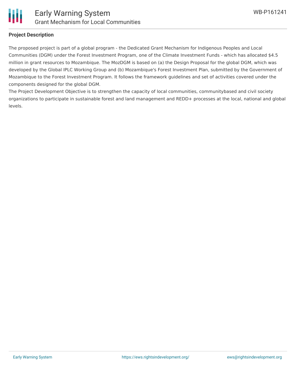

#### **Project Description**

The proposed project is part of a global program - the Dedicated Grant Mechanism for Indigenous Peoples and Local Communities (DGM) under the Forest Investment Program, one of the Climate Investment Funds - which has allocated \$4.5 million in grant resources to Mozambique. The MozDGM is based on (a) the Design Proposal for the global DGM, which was developed by the Global IPLC Working Group and (b) Mozambique's Forest Investment Plan, submitted by the Government of Mozambique to the Forest Investment Program. It follows the framework guidelines and set of activities covered under the components designed for the global DGM.

The Project Development Objective is to strengthen the capacity of local communities, communitybased and civil society organizations to participate in sustainable forest and land management and REDD+ processes at the local, national and global levels.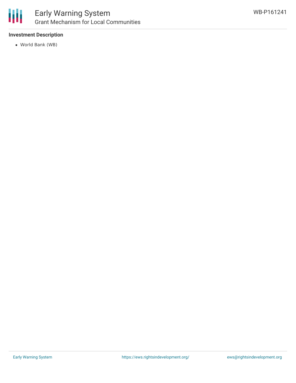

#### **Investment Description**

World Bank (WB)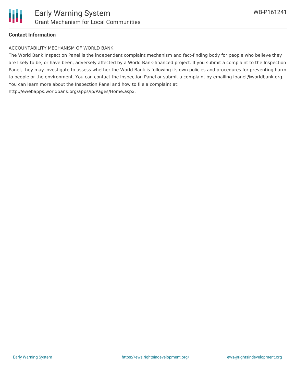

#### **Contact Information**

#### ACCOUNTABILITY MECHANISM OF WORLD BANK

The World Bank Inspection Panel is the independent complaint mechanism and fact-finding body for people who believe they are likely to be, or have been, adversely affected by a World Bank-financed project. If you submit a complaint to the Inspection Panel, they may investigate to assess whether the World Bank is following its own policies and procedures for preventing harm to people or the environment. You can contact the Inspection Panel or submit a complaint by emailing ipanel@worldbank.org. You can learn more about the Inspection Panel and how to file a complaint at: http://ewebapps.worldbank.org/apps/ip/Pages/Home.aspx.